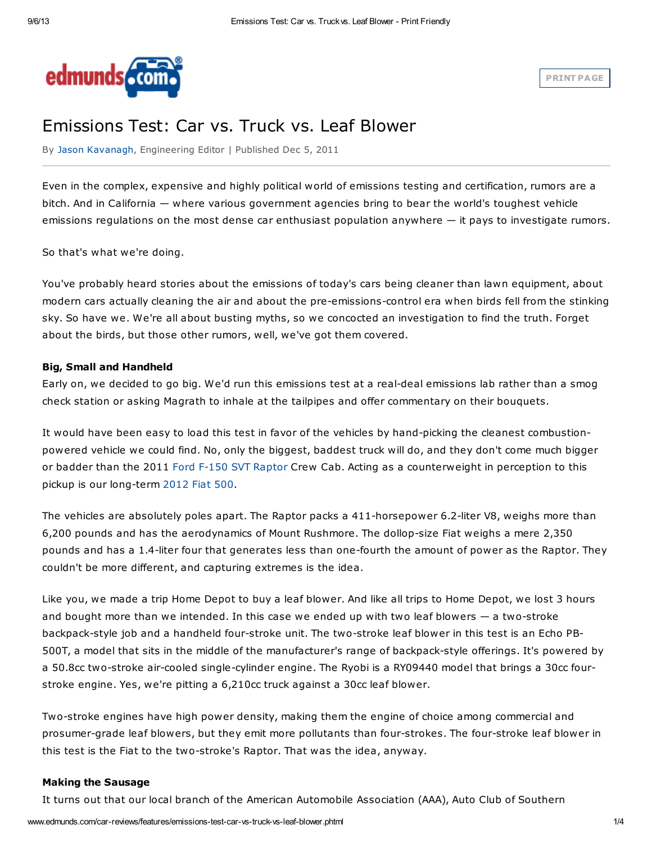

# Emissions Test: Car vs. Truck vs. Leaf Blower

By Jason [Kavanagh](http://www.edmunds.com/about/authors/jason-kavanagh.html), Engineering Editor | Published Dec 5, 2011

Even in the complex, expensive and highly political world of emissions testing and certification, rumors are a bitch. And in California — where various government agencies bring to bear the world's toughest vehicle emissions regulations on the most dense car enthusiast population anywhere — it pays to investigate rumors.

So that's what we're doing.

You've probably heard stories about the emissions of today's cars being cleaner than lawn equipment, about modern cars actually cleaning the air and about the pre-emissions-control era when birds fell from the stinking sky. So have we. We're all about busting myths, so we concocted an investigation to find the truth. Forget about the birds, but those other rumors, well, we've got them covered.

# Big, Small and Handheld

Early on, we decided to go big. We'd run this emissions test at a real-deal emissions lab rather than a smog check station or asking Magrath to inhale at the tailpipes and offer commentary on their bouquets.

It would have been easy to load this test in favor of the vehicles by hand-picking the cleanest combustionpowered vehicle we could find. No, only the biggest, baddest truck will do, and they don't come much bigger or badder than the 2011 Ford F-150 SVT [Raptor](http://www.edmunds.com/ford/f-150/2010/) Crew Cab. Acting as a counterweight in perception to this pickup is our long-term [2012](http://www.edmunds.com/fiat/500/2012/) Fiat 500.

The vehicles are absolutely poles apart. The Raptor packs a 411-horsepower 6.2-liter V8, weighs more than 6,200 pounds and has the aerodynamics of Mount Rushmore. The dollop-size Fiat weighs a mere 2,350 pounds and has a 1.4-liter four that generates less than one-fourth the amount of power as the Raptor. They couldn't be more different, and capturing extremes is the idea.

Like you, we made a trip Home Depot to buy a leaf blower. And like all trips to Home Depot, we lost 3 hours and bought more than we intended. In this case we ended up with two leaf blowers — a two-stroke backpack-style job and a handheld four-stroke unit. The two-stroke leaf blower in this test is an Echo PB-500T, a model that sits in the middle of the manufacturer's range of backpack-style offerings. It's powered by a 50.8cc two-stroke air-cooled single-cylinder engine. The Ryobi is a RY09440 model that brings a 30cc fourstroke engine. Yes, we're pitting a 6,210cc truck against a 30cc leaf blower.

Two-stroke engines have high power density, making them the engine of choice among commercial and prosumer-grade leaf blowers, but they emit more pollutants than four-strokes. The four-stroke leaf blower in this test is the Fiat to the two-stroke's Raptor. That was the idea, anyway.

#### Making the Sausage

It turns out that our local branch of the American Automobile Association (AAA), Auto Club of Southern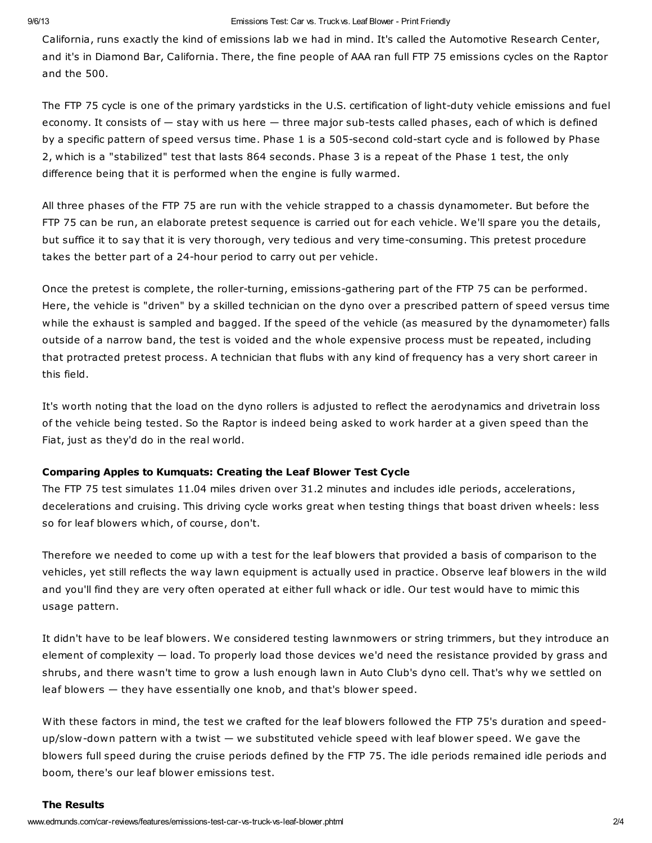#### 9/6/13 Emissions Test: Car vs. Truckvs. Leaf Blower - Print Friendly

California, runs exactly the kind of emissions lab we had in mind. It's called the Automotive Research Center, and it's in Diamond Bar, California. There, the fine people of AAA ran full FTP 75 emissions cycles on the Raptor and the 500.

The FTP 75 cycle is one of the primary yardsticks in the U.S. certification of light-duty vehicle emissions and fuel economy. It consists of — stay with us here — three major sub-tests called phases, each of which is defined by a specific pattern of speed versus time. Phase 1 is a 505-second cold-start cycle and is followed by Phase 2, which is a "stabilized" test that lasts 864 seconds. Phase 3 is a repeat of the Phase 1 test, the only difference being that it is performed when the engine is fully warmed.

All three phases of the FTP 75 are run with the vehicle strapped to a chassis dynamometer. But before the FTP 75 can be run, an elaborate pretest sequence is carried out for each vehicle. We'll spare you the details, but suffice it to say that it is very thorough, very tedious and very time-consuming. This pretest procedure takes the better part of a 24-hour period to carry out per vehicle.

Once the pretest is complete, the roller-turning, emissions-gathering part of the FTP 75 can be performed. Here, the vehicle is "driven" by a skilled technician on the dyno over a prescribed pattern of speed versus time while the exhaust is sampled and bagged. If the speed of the vehicle (as measured by the dynamometer) falls outside of a narrow band, the test is voided and the whole expensive process must be repeated, including that protracted pretest process. A technician that flubs with any kind of frequency has a very short career in this field.

It's worth noting that the load on the dyno rollers is adjusted to reflect the aerodynamics and drivetrain loss of the vehicle being tested. So the Raptor is indeed being asked to work harder at a given speed than the Fiat, just as they'd do in the real world.

## Comparing Apples to Kumquats: Creating the Leaf Blower Test Cycle

The FTP 75 test simulates 11.04 miles driven over 31.2 minutes and includes idle periods, accelerations, decelerations and cruising. This driving cycle works great when testing things that boast driven wheels: less so for leaf blowers which, of course, don't.

Therefore we needed to come up with a test for the leaf blowers that provided a basis of comparison to the vehicles, yet still reflects the way lawn equipment is actually used in practice. Observe leaf blowers in the wild and you'll find they are very often operated at either full whack or idle. Our test would have to mimic this usage pattern.

It didn't have to be leaf blowers. We considered testing lawnmowers or string trimmers, but they introduce an element of complexity — load. To properly load those devices we'd need the resistance provided by grass and shrubs, and there wasn't time to grow a lush enough lawn in Auto Club's dyno cell. That's why we settled on leaf blowers — they have essentially one knob, and that's blower speed.

With these factors in mind, the test we crafted for the leaf blowers followed the FTP 75's duration and speedup/slow-down pattern with a twist — we substituted vehicle speed with leaf blower speed. We gave the blowers full speed during the cruise periods defined by the FTP 75. The idle periods remained idle periods and boom, there's our leaf blower emissions test.

#### The Results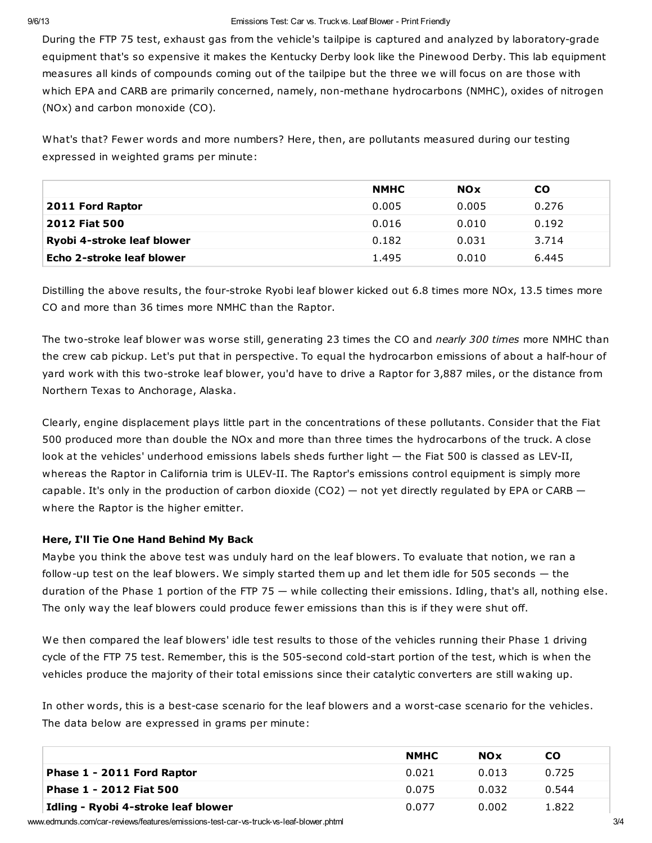During the FTP 75 test, exhaust gas from the vehicle's tailpipe is captured and analyzed by laboratory-grade equipment that's so expensive it makes the Kentucky Derby look like the Pinewood Derby. This lab equipment measures all kinds of compounds coming out of the tailpipe but the three we will focus on are those with which EPA and CARB are primarily concerned, namely, non-methane hydrocarbons (NMHC), oxides of nitrogen (NOx) and carbon monoxide (CO).

What's that? Fewer words and more numbers? Here, then, are pollutants measured during our testing expressed in weighted grams per minute:

|                            | <b>NMHC</b> | <b>NOx</b> | <b>CO</b> |
|----------------------------|-------------|------------|-----------|
| 2011 Ford Raptor           | 0.005       | 0.005      | 0.276     |
| 2012 Fiat 500              | 0.016       | 0.010      | 0.192     |
| Ryobi 4-stroke leaf blower | 0.182       | 0.031      | 3.714     |
| Echo 2-stroke leaf blower  | 1.495       | 0.010      | 6.445     |

Distilling the above results, the four-stroke Ryobi leaf blower kicked out 6.8 times more NOx, 13.5 times more CO and more than 36 times more NMHC than the Raptor.

The two-stroke leaf blower was worse still, generating 23 times the CO and nearly 300 times more NMHC than the crew cab pickup. Let's put that in perspective. To equal the hydrocarbon emissions of about a half-hour of yard work with this two-stroke leaf blower, you'd have to drive a Raptor for 3,887 miles, or the distance from Northern Texas to Anchorage, Alaska.

Clearly, engine displacement plays little part in the concentrations of these pollutants. Consider that the Fiat 500 produced more than double the NOx and more than three times the hydrocarbons of the truck. A close look at the vehicles' underhood emissions labels sheds further light - the Fiat 500 is classed as LEV-II, whereas the Raptor in California trim is ULEV-II. The Raptor's emissions control equipment is simply more capable. It's only in the production of carbon dioxide  $(CO2)$  – not yet directly regulated by EPA or CARB – where the Raptor is the higher emitter.

# Here, I'll Tie One Hand Behind My Back

Maybe you think the above test was unduly hard on the leaf blowers. To evaluate that notion, we ran a follow-up test on the leaf blowers. We simply started them up and let them idle for 505 seconds — the duration of the Phase 1 portion of the FTP 75 — while collecting their emissions. Idling, that's all, nothing else. The only way the leaf blowers could produce fewer emissions than this is if they were shut off.

We then compared the leaf blowers' idle test results to those of the vehicles running their Phase 1 driving cycle of the FTP 75 test. Remember, this is the 505-second cold-start portion of the test, which is when the vehicles produce the majority of their total emissions since their catalytic converters are still waking up.

In other words, this is a best-case scenario for the leaf blowers and a worst-case scenario for the vehicles. The data below are expressed in grams per minute:

|                                     | <b>NMHC</b> | <b>NOx</b> | CO.   |
|-------------------------------------|-------------|------------|-------|
| Phase 1 - 2011 Ford Raptor          | 0.021       | 0.013      | 0.725 |
| Phase 1 - 2012 Fiat 500             | 0.075       | 0.032      | 0.544 |
| Idling - Ryobi 4-stroke leaf blower | 0.077       | 0.002      | 1.822 |

www.edmunds.com/car-reviews/features/emissions-test-car-vs-truck-vs-leaf-blower.phtml 3/4